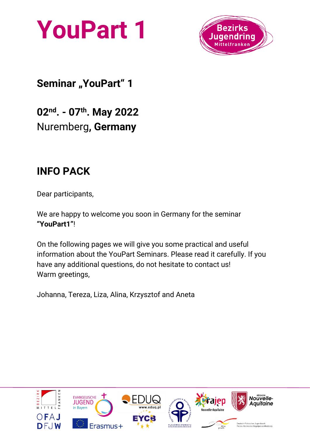



## **Seminar** "YouPart" 1

**02nd . - 07th. May 2022** Nuremberg**, Germany** 

## **INFO PACK**

Dear participants,

We are happy to welcome you soon in Germany for the seminar **"YouPart1"**!

On the following pages we will give you some practical and useful information about the YouPart Seminars. Please read it carefully. If you have any additional questions, do not hesitate to contact us! Warm greetings,

Johanna, Tereza, Liza, Alina, Krzysztof and Aneta

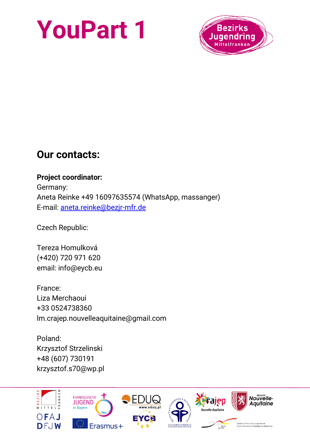

### **Our contacts:**

**Project coordinator:**  Germany: Aneta Reinke +49 16097635574 (WhatsApp, massanger) E-mail: [aneta.reinke@bezjr-mfr.de](mailto:aneta.reinke@bezjr-mfr.de)

Czech Republic:

Tereza Homulková (+420) 720 971 620 email: info@eycb.eu

France: Liza Merchaoui +33 0524738360 lm.crajep.nouvelleaquitaine@gmail.com

Poland: Krzysztof Strzelinski +48 (607) 730191 krzysztof.s70@wp.pl

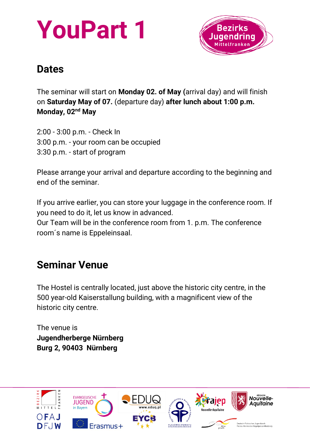

## **Dates**

The seminar will start on **Monday 02. of May (**arrival day) and will finish on **Saturday May of 07.** (departure day) **after lunch about 1:00 p.m. Monday, 02nd May**

2:00 - 3:00 p.m. - Check In 3:00 p.m. - your room can be occupied 3:30 p.m. - start of program

Please arrange your arrival and departure according to the beginning and end of the seminar.

If you arrive earlier, you can store your luggage in the conference room. If you need to do it, let us know in advanced.

Our Team will be in the conference room from 1. p.m. The conference room´s name is Eppeleinsaal.

## **Seminar Venue**

The Hostel is centrally located, just above the historic city centre, in the 500 year-old Kaiserstallung building, with a magnificent view of the historic city centre.

The venue is **Jugendherberge Nürnberg Burg 2, 90403 Nürnberg**

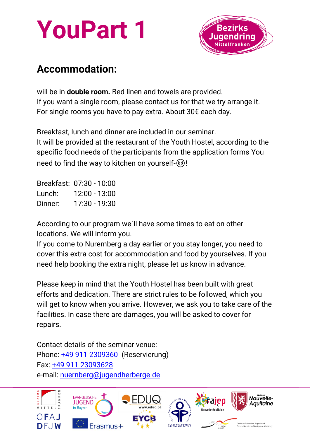



### **Accommodation:**

will be in **double room.** Bed linen and towels are provided. If you want a single room, please contact us for that we try arrange it. For single rooms you have to pay extra. About 30€ each day.

Breakfast, lunch and dinner are included in our seminar. It will be provided at the restaurant of the Youth Hostel, according to the specific food needs of the participants from the application forms You need to find the way to kitchen on yourself
subset

Breakfast: 07:30 - 10:00 Lunch: 12:00 - 13:00<br>Dinner: 17:30 - 19:30  $17:30 - 19:30$ 

According to our program we´ll have some times to eat on other locations. We will inform you.

If you come to Nuremberg a day earlier or you stay longer, you need to cover this extra cost for accommodation and food by yourselves. If you need help booking the extra night, please let us know in advance.

Please keep in mind that the Youth Hostel has been built with great efforts and dedication. There are strict rules to be followed, which you will get to know when you arrive. However, we ask you to take care of the facilities. In case there are damages, you will be asked to cover for repairs.

Contact details of the seminar venue: Phone: [+49 911 2309360](about:blank) (Reservierung) Fax: [+49 911 23093628](about:blank) e-mail: [nuernberg@jugendherberge.de](mailto:nuernberg@jugendherberge.de)

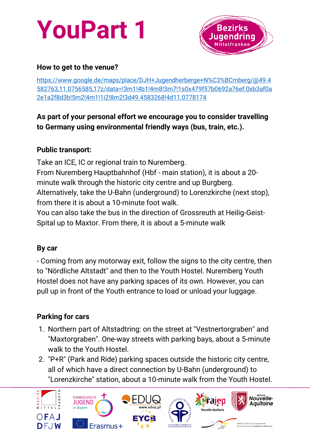

#### **How to get to the venue?**

[https://www.google.de/maps/place/DJH+Jugendherberge+N%C3%BCrnberg/@49.4](https://www.google.de/maps/place/DJH+Jugendherberge+N%C3%BCrnberg/@49.4582763,11.0756585,17z/data=!3m1!4b1!4m8!3m7!1s0x479f57b0692a76ef:0xb3af0a2e1a2f8d3b!5m2!4m1!1i2!8m2!3d49.4583268!4d11.0778174) [582763,11.0756585,17z/data=!3m1!4b1!4m8!3m7!1s0x479f57b0692a76ef:0xb3af0a](https://www.google.de/maps/place/DJH+Jugendherberge+N%C3%BCrnberg/@49.4582763,11.0756585,17z/data=!3m1!4b1!4m8!3m7!1s0x479f57b0692a76ef:0xb3af0a2e1a2f8d3b!5m2!4m1!1i2!8m2!3d49.4583268!4d11.0778174) [2e1a2f8d3b!5m2!4m1!1i2!8m2!3d49.4583268!4d11.0778174](https://www.google.de/maps/place/DJH+Jugendherberge+N%C3%BCrnberg/@49.4582763,11.0756585,17z/data=!3m1!4b1!4m8!3m7!1s0x479f57b0692a76ef:0xb3af0a2e1a2f8d3b!5m2!4m1!1i2!8m2!3d49.4583268!4d11.0778174)

### **As part of your personal effort we encourage you to consider travelling to Germany using environmental friendly ways (bus, train, etc.).**

#### **Public transport:**

Take an ICE, IC or regional train to Nuremberg. From Nuremberg Hauptbahnhof (Hbf - main station), it is about a 20 minute walk through the historic city centre and up Burgberg. Alternatively, take the U-Bahn (underground) to Lorenzkirche (next stop), from there it is about a 10-minute foot walk.

You can also take the bus in the direction of Grossreuth at Heilig-Geist-Spital up to Maxtor. From there, it is about a 5-minute walk

### **By car**

- Coming from any motorway exit, follow the signs to the city centre, then to "Nördliche Altstadt" and then to the Youth Hostel. Nuremberg Youth Hostel does not have any parking spaces of its own. However, you can pull up in front of the Youth entrance to load or unload your luggage.

### **Parking for cars**

- 1. Northern part of Altstadtring: on the street at "Vestnertorgraben" and "Maxtorgraben". One-way streets with parking bays, about a 5-minute walk to the Youth Hostel.
- 2. "P+R" (Park and Ride) parking spaces outside the historic city centre, all of which have a direct connection by U-Bahn (underground) to "Lorenzkirche" station, about a 10-minute walk from the Youth Hostel.

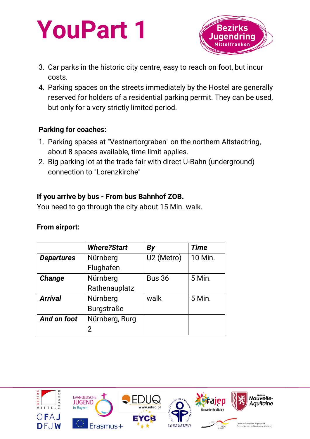

- 3. Car parks in the historic city centre, easy to reach on foot, but incur costs.
- 4. Parking spaces on the streets immediately by the Hostel are generally reserved for holders of a residential parking permit. They can be used, but only for a very strictly limited period.

### **Parking for coaches:**

- 1. Parking spaces at "Vestnertorgraben" on the northern Altstadtring, about 8 spaces available, time limit applies.
- 2. Big parking lot at the trade fair with direct U-Bahn (underground) connection to "Lorenzkirche"

#### **If you arrive by bus - From bus Bahnhof ZOB.**

You need to go through the city about 15 Min. walk.

#### **From airport:**

|                   | <b>Where?Start</b> | <b>By</b>              | <b>Time</b>   |
|-------------------|--------------------|------------------------|---------------|
| <b>Departures</b> | Nürnberg           | U <sub>2</sub> (Metro) | 10 Min.       |
|                   | Flughafen          |                        |               |
| Change            | Nürnberg           | <b>Bus 36</b>          | <b>5 Min.</b> |
|                   | Rathenauplatz      |                        |               |
| <b>Arrival</b>    | Nürnberg           | walk                   | <b>5 Min.</b> |
|                   | <b>Burgstraße</b>  |                        |               |
| And on foot       | Nürnberg, Burg     |                        |               |
|                   | 2                  |                        |               |

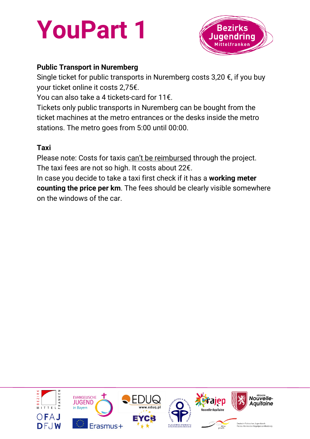

### **Public Transport in Nuremberg**

Single ticket for public transports in Nuremberg costs  $3.20 \epsilon$ , if you buy your ticket online it costs 2,75€.

You can also take a 4 tickets-card for 11€.

Tickets only public transports in Nuremberg can be bought from the ticket machines at the metro entrances or the desks inside the metro stations. The metro goes from 5:00 until 00:00.

#### **Taxi**

Please note: Costs for taxis can't be reimbursed through the project. The taxi fees are not so high. It costs about 22€.

In case you decide to take a taxi first check if it has a **working meter counting the price per km**. The fees should be clearly visible somewhere on the windows of the car.

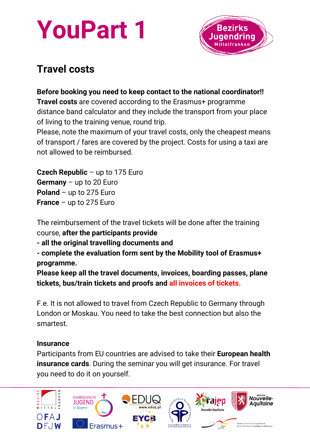

## **Travel costs**

### **Before booking you need to keep contact to the national coordinator!!**

**Travel costs** are covered according to the Erasmus+ programme distance band calculator and they include the transport from your place of living to the training venue, round trip.

Please, note the maximum of your travel costs, only the cheapest means of transport / fares are covered by the project. Costs for using a taxi are not allowed to be reimbursed.

**Czech Republic** – up to 175 Euro **Germany** – up to 20 Euro **Poland** – up to 275 Euro **France** – up to 275 Euro

The reimbursement of the travel tickets will be done after the training course, **after the participants provide**

**- all the original travelling documents and** 

**- complete the evaluation form sent by the Mobility tool of Erasmus+ programme.** 

**Please keep all the travel documents, invoices, boarding passes, plane tickets, bus/train tickets and proofs and all invoices of tickets.** 

F.e. It is not allowed to travel from Czech Republic to Germany through London or Moskau. You need to take the best connection but also the smartest.

### **Insurance**

Participants from EU countries are advised to take their **European health insurance cards**. During the seminar you will get insurance. For travel you need to do it on yourself.

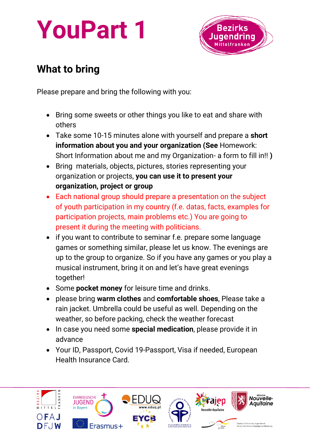

## **What to bring**

Please prepare and bring the following with you:

- Bring some sweets or other things you like to eat and share with others
- Take some 10-15 minutes alone with yourself and prepare a **short information about you and your organization (See** Homework: Short Information about me and my Organization- a form to fill in!! **)**
- Bring materials, objects, pictures, stories representing your organization or projects, **you can use it to present your organization, project or group**
- Each national group should prepare a presentation on the subject of youth participation in my country (f.e. datas, facts, examples for participation projects, main problems etc.) You are going to present it during the meeting with politicians.
- if you want to contribute to seminar f.e. prepare some language games or something similar, please let us know. The evenings are up to the group to organize. So if you have any games or you play a musical instrument, bring it on and let's have great evenings together!
- Some **pocket money** for leisure time and drinks.
- please bring **warm clothes** and **comfortable shoes**, Please take a rain jacket. Umbrella could be useful as well. Depending on the weather, so before packing, check the weather forecast
- In case you need some **special medication**, please provide it in advance
- Your ID, Passport, Covid 19-Passport, Visa if needed, European Health Insurance Card.

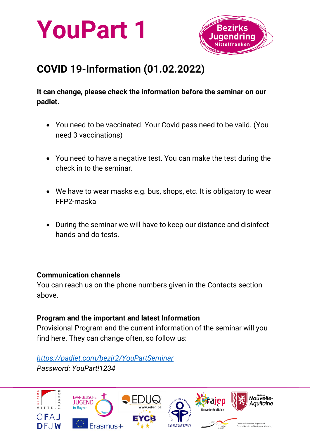



## **COVID 19-Information (01.02.2022)**

**It can change, please check the information before the seminar on our padlet.**

- You need to be vaccinated. Your Covid pass need to be valid. (You need 3 vaccinations)
- You need to have a negative test. You can make the test during the check in to the seminar.
- We have to wear masks e.g. bus, shops, etc. It is obligatory to wear FFP2-maska
- During the seminar we will have to keep our distance and disinfect hands and do tests.

#### **Communication channels**

You can reach us on the phone numbers given in the Contacts section above.

#### **Program and the important and latest Information**

Provisional Program and the current information of the seminar will you find here. They can change often, so follow us:

#### *<https://padlet.com/bezjr2/YouPartSeminar>*

*Password: YouPart!1234*